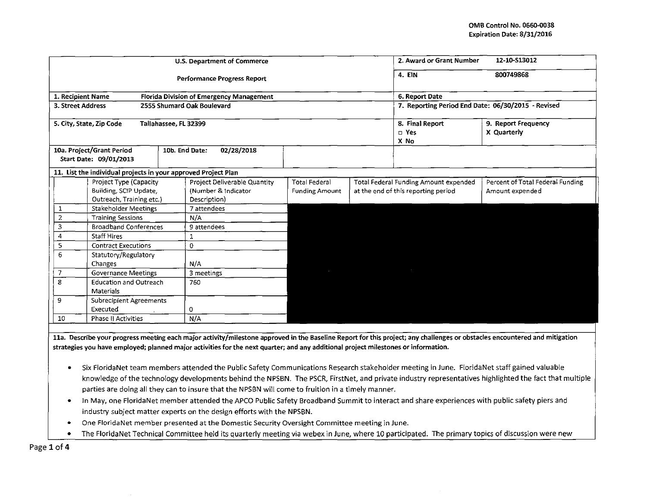|                   |                                                                | U.S. Department of Commerce                     | 2. Award or Grant Number                                      | 12-10-S13012                                       |                                    |                                  |
|-------------------|----------------------------------------------------------------|-------------------------------------------------|---------------------------------------------------------------|----------------------------------------------------|------------------------------------|----------------------------------|
|                   |                                                                | <b>Performance Progress Report</b>              | 4. EIN                                                        | 800749868                                          |                                    |                                  |
| 1. Recipient Name |                                                                | <b>Florida Division of Emergency Management</b> |                                                               | 6. Report Date                                     |                                    |                                  |
| 3. Street Address |                                                                | 2555 Shumard Oak Boulevard                      |                                                               | 7. Reporting Period End Date: 06/30/2015 - Revised |                                    |                                  |
|                   | 5. City, State, Zip Code<br>Tallahassee, FL 32399              |                                                 |                                                               | 8. Final Report<br>$\square$ Yes<br>X No           | 9. Report Frequency<br>X Quarterly |                                  |
|                   | 10a. Project/Grant Period<br>Start Date: 09/01/2013            | 10b. End Date:<br>02/28/2018                    |                                                               |                                                    |                                    |                                  |
|                   | 11. List the individual projects in your approved Project Plan |                                                 |                                                               |                                                    |                                    |                                  |
|                   | Project Type (Capacity                                         | Project Deliverable Quantity                    | <b>Total Federal</b><br>Total Federal Funding Amount expended |                                                    |                                    | Percent of Total Federal Funding |
|                   | Building, SCIP Update,                                         | (Number & Indicator                             | <b>Funding Amount</b>                                         | at the end of this reporting period                |                                    | Amount expended                  |
|                   | Outreach, Training etc.)                                       | Description)                                    |                                                               |                                                    |                                    |                                  |
| 1                 | <b>Stakeholder Meetings</b>                                    | 7 attendees                                     |                                                               |                                                    |                                    |                                  |
| $\overline{2}$    | <b>Training Sessions</b>                                       | N/A                                             |                                                               |                                                    |                                    |                                  |
| 3                 | <b>Broadband Conferences</b>                                   | 9 attendees                                     |                                                               |                                                    |                                    |                                  |
| 4                 | <b>Staff Hires</b>                                             | 1                                               |                                                               |                                                    |                                    |                                  |
| 5                 | <b>Contract Executions</b>                                     | 0                                               |                                                               |                                                    |                                    |                                  |
| 6                 | Statutory/Regulatory                                           |                                                 |                                                               |                                                    |                                    |                                  |
|                   | Changes                                                        | N/A                                             |                                                               |                                                    |                                    |                                  |
| 7                 | <b>Governance Meetings</b>                                     | 3 meetings                                      |                                                               |                                                    |                                    |                                  |
| 8                 | <b>Education and Outreach</b><br>Materials                     | 760                                             |                                                               |                                                    |                                    |                                  |
| 9                 | Subrecipient Agreements                                        |                                                 |                                                               |                                                    |                                    |                                  |
|                   | Executed                                                       | 0                                               |                                                               |                                                    |                                    |                                  |
| 10                | N/A<br><b>Phase II Activities</b>                              |                                                 |                                                               |                                                    |                                    |                                  |

lla. Describe your progress meeting each major activity/milestone approved in the Baseline Report for this project; any challenges or obstacles encountered and mitigation strategies you have employed; planned major activities for the next quarter; and any additional project milestones or information.

- o Six Florida Net team members attended the Public Safety Communications Research stakeholder meeting in June. FloridaNet staff gained valuable knowledge of the technology developments behind the NPSBN. The PSCR, FirstNet, and private industry representatives highlighted the fact that multiple parties are doing all they can to insure that the NPSBN will come to fruition in a timely manner.
- o In May, one Florida Net member attended the APCO Public Safety Broadband Summit to interact and share experiences with public safety piers and industry subject matter experts on the design efforts with the NPSBN.
- One Florida Net member presented at the Domestic Security Oversight Committee meeting in June.
- The FloridaNet Technical Committee held its quarterly meeting via webex in June, where 10 participated. The primary topics of discussion were new

Page 1 of 4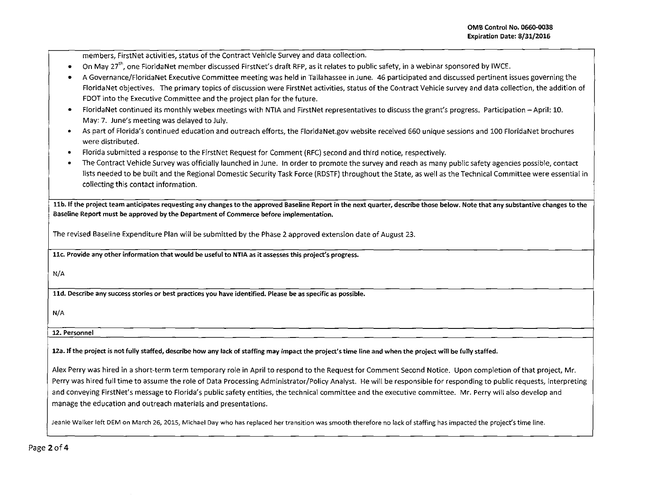| members, FirstNet activities, status of the Contract Vehicle Survey and data collection.                                                                                        |  |  |  |  |  |
|---------------------------------------------------------------------------------------------------------------------------------------------------------------------------------|--|--|--|--|--|
| On May 27 <sup>th</sup> , one FloridaNet member discussed FirstNet's draft RFP, as it relates to public safety, in a webinar sponsored by IWCE.<br>$\bullet$                    |  |  |  |  |  |
| A Governance/FloridaNet Executive Committee meeting was held in Tallahassee in June. 46 participated and discussed pertinent issues governing the                               |  |  |  |  |  |
| FloridaNet objectives. The primary topics of discussion were FirstNet activities, status of the Contract Vehicle survey and data collection, the addition of                    |  |  |  |  |  |
| FDOT into the Executive Committee and the project plan for the future.                                                                                                          |  |  |  |  |  |
| FloridaNet continued its monthly webex meetings with NTIA and FirstNet representatives to discuss the grant's progress. Participation - April: 10.<br>٠                         |  |  |  |  |  |
| May: 7. June's meeting was delayed to July.                                                                                                                                     |  |  |  |  |  |
| As part of Florida's continued education and outreach efforts, the FloridaNet.gov website received 660 unique sessions and 100 FloridaNet brochures<br>٠                        |  |  |  |  |  |
| were distributed.                                                                                                                                                               |  |  |  |  |  |
| Florida submitted a response to the FirstNet Request for Comment (RFC) second and third notice, respectively.<br>$\bullet$                                                      |  |  |  |  |  |
| The Contract Vehicle Survey was officially launched in June. In order to promote the survey and reach as many public safety agencies possible, contact                          |  |  |  |  |  |
| lists needed to be built and the Regional Domestic Security Task Force (RDSTF) throughout the State, as well as the Technical Committee were essential in                       |  |  |  |  |  |
| collecting this contact information.                                                                                                                                            |  |  |  |  |  |
|                                                                                                                                                                                 |  |  |  |  |  |
| 11b. If the project team anticipates requesting any changes to the approved Baseline Report in the next quarter, describe those below. Note that any substantive changes to the |  |  |  |  |  |
| Baseline Report must be approved by the Department of Commerce before implementation.                                                                                           |  |  |  |  |  |
|                                                                                                                                                                                 |  |  |  |  |  |
| The revised Baseline Expenditure Plan will be submitted by the Phase 2 approved extension date of August 23.                                                                    |  |  |  |  |  |
| 11c. Provide any other information that would be useful to NTIA as it assesses this project's progress.                                                                         |  |  |  |  |  |
|                                                                                                                                                                                 |  |  |  |  |  |
| N/A                                                                                                                                                                             |  |  |  |  |  |
|                                                                                                                                                                                 |  |  |  |  |  |
| 11d. Describe any success stories or best practices you have identified. Please be as specific as possible.                                                                     |  |  |  |  |  |
|                                                                                                                                                                                 |  |  |  |  |  |
| N/A                                                                                                                                                                             |  |  |  |  |  |
| 12. Personnel                                                                                                                                                                   |  |  |  |  |  |
|                                                                                                                                                                                 |  |  |  |  |  |
| 12a. If the project is not fully staffed, describe how any lack of staffing may impact the project's time line and when the project will be fully staffed.                      |  |  |  |  |  |
| Alex Perry was hired in a short-term term temporary role in April to respond to the Request for Comment Second Notice. Upon completion of that project, Mr.                     |  |  |  |  |  |
| Perry was hired full time to assume the role of Data Processing Administrator/Policy Analyst. He will be responsible for responding to public requests, interpreting            |  |  |  |  |  |
| and conveying FirstNet's message to Florida's public safety entities, the technical committee and the executive committee. Mr. Perry will also develop and                      |  |  |  |  |  |
| manage the education and outreach materials and presentations.                                                                                                                  |  |  |  |  |  |
|                                                                                                                                                                                 |  |  |  |  |  |
| Jeanie Walker left DEM on March 26, 2015, Michael Day who has replaced her transition was smooth therefore no lack of staffing has impacted the project's time line.            |  |  |  |  |  |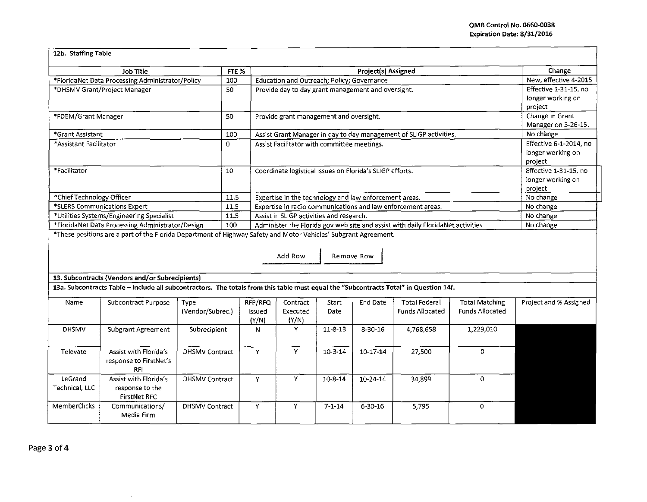| Job Title                                                                                     |                                                                                                                 | FTE %                 |         | Project(s) Assigned                                                                                                         |                                            |                 |                                                                                                                                       |                        | Change                 |  |
|-----------------------------------------------------------------------------------------------|-----------------------------------------------------------------------------------------------------------------|-----------------------|---------|-----------------------------------------------------------------------------------------------------------------------------|--------------------------------------------|-----------------|---------------------------------------------------------------------------------------------------------------------------------------|------------------------|------------------------|--|
| *FloridaNet Data Processing Administrator/Policy                                              |                                                                                                                 | 100                   |         | Education and Outreach; Policy; Governance                                                                                  |                                            |                 |                                                                                                                                       |                        | New, effective 4-2015  |  |
| *DHSMV Grant/Project Manager                                                                  |                                                                                                                 | 50                    |         | Provide day to day grant management and oversight.                                                                          | Effective 1-31-15, no                      |                 |                                                                                                                                       |                        |                        |  |
|                                                                                               |                                                                                                                 |                       |         |                                                                                                                             | longer working on                          |                 |                                                                                                                                       |                        |                        |  |
|                                                                                               |                                                                                                                 |                       |         |                                                                                                                             | project                                    |                 |                                                                                                                                       |                        |                        |  |
| *FDEM/Grant Manager                                                                           |                                                                                                                 | 50                    |         | Provide grant management and oversight.                                                                                     |                                            |                 |                                                                                                                                       |                        | Change in Grant        |  |
|                                                                                               |                                                                                                                 |                       |         |                                                                                                                             |                                            |                 |                                                                                                                                       |                        | Manager on 3-26-15.    |  |
| *Grant Assistant                                                                              |                                                                                                                 | 100                   |         | Assist Grant Manager in day to day management of SLIGP activities.                                                          |                                            |                 |                                                                                                                                       |                        | No change              |  |
| *Assistant Facilitator                                                                        |                                                                                                                 | $\Omega$              |         | Assist Facilitator with committee meetings.                                                                                 |                                            |                 |                                                                                                                                       | Effective 6-1-2014, no |                        |  |
|                                                                                               |                                                                                                                 |                       |         |                                                                                                                             |                                            |                 |                                                                                                                                       |                        | longer working on      |  |
|                                                                                               |                                                                                                                 |                       |         |                                                                                                                             |                                            |                 |                                                                                                                                       |                        | project                |  |
| *Facilitator                                                                                  |                                                                                                                 | 10                    |         | Coordinate logistical issues on Florida's SLIGP efforts.                                                                    | Effective 1-31-15, no<br>longer working on |                 |                                                                                                                                       |                        |                        |  |
|                                                                                               |                                                                                                                 |                       |         |                                                                                                                             |                                            |                 |                                                                                                                                       |                        |                        |  |
|                                                                                               |                                                                                                                 |                       |         |                                                                                                                             | project                                    |                 |                                                                                                                                       |                        |                        |  |
| *Chief Technology Officer                                                                     |                                                                                                                 | 11.5                  |         | Expertise in the technology and law enforcement areas.                                                                      | No change                                  |                 |                                                                                                                                       |                        |                        |  |
| *SLERS Communications Expert                                                                  |                                                                                                                 | 11.5                  |         | Expertise in radio communications and law enforcement areas.                                                                | No change                                  |                 |                                                                                                                                       |                        |                        |  |
| *Utilities Systems/Engineering Specialist<br>*FloridaNet Data Processing Administrator/Design |                                                                                                                 | 11.5                  |         | Assist in SLIGP activities and research.<br>Administer the Florida.gov web site and assist with daily FloridaNet activities |                                            |                 |                                                                                                                                       |                        | No change              |  |
|                                                                                               | *These positions are a part of the Florida Department of Highway Safety and Motor Vehicles' Subgrant Agreement. | 100                   |         |                                                                                                                             |                                            |                 |                                                                                                                                       |                        | No change              |  |
|                                                                                               |                                                                                                                 |                       |         |                                                                                                                             |                                            |                 |                                                                                                                                       |                        |                        |  |
|                                                                                               |                                                                                                                 |                       |         | Add Row                                                                                                                     |                                            | Remove Row      |                                                                                                                                       |                        |                        |  |
|                                                                                               | 13. Subcontracts (Vendors and/or Subrecipients)                                                                 |                       |         |                                                                                                                             |                                            |                 |                                                                                                                                       |                        |                        |  |
|                                                                                               |                                                                                                                 |                       |         |                                                                                                                             |                                            |                 |                                                                                                                                       |                        |                        |  |
|                                                                                               |                                                                                                                 |                       |         |                                                                                                                             |                                            |                 |                                                                                                                                       |                        |                        |  |
| Name                                                                                          |                                                                                                                 |                       |         |                                                                                                                             |                                            |                 | 13a. Subcontracts Table - Include all subcontractors. The totals from this table must equal the "Subcontracts Total" in Question 14f. |                        |                        |  |
|                                                                                               | Subcontract Purpose                                                                                             | Type                  | RFP/RFQ | Contract                                                                                                                    | Start                                      | <b>End Date</b> | <b>Total Federal</b>                                                                                                                  | <b>Total Matching</b>  | Project and % Assigned |  |
|                                                                                               |                                                                                                                 | (Vendor/Subrec.)      | Issued  | Executed                                                                                                                    | <b>Date</b>                                |                 | <b>Funds Allocated</b>                                                                                                                | <b>Funds Allocated</b> |                        |  |
|                                                                                               |                                                                                                                 |                       | (Y/N)   | (Y/N)                                                                                                                       |                                            |                 |                                                                                                                                       |                        |                        |  |
| <b>DHSMV</b>                                                                                  | Subgrant Agreement                                                                                              | Subrecipient          | N       | Y                                                                                                                           | $11 - 8 - 13$                              | 8-30-16         | 4,768,658                                                                                                                             | 1,229,010              |                        |  |
|                                                                                               |                                                                                                                 |                       |         |                                                                                                                             |                                            |                 |                                                                                                                                       |                        |                        |  |
| Televate                                                                                      | Assist with Florida's                                                                                           | <b>DHSMV Contract</b> | Y       | Y                                                                                                                           |                                            |                 | 27,500                                                                                                                                | 0                      |                        |  |
|                                                                                               | response to FirstNet's                                                                                          |                       |         |                                                                                                                             | $10 - 3 - 14$                              | $10 - 17 - 14$  |                                                                                                                                       |                        |                        |  |
|                                                                                               | <b>RFI</b>                                                                                                      |                       |         |                                                                                                                             |                                            |                 |                                                                                                                                       |                        |                        |  |
| LeGrand                                                                                       | Assist with Florida's                                                                                           | <b>DHSMV Contract</b> | Y       | Y                                                                                                                           | $10 - 8 - 14$                              | 10-24-14        | 34,899                                                                                                                                | 0                      |                        |  |
| Technical, LLC                                                                                | response to the                                                                                                 |                       |         |                                                                                                                             |                                            |                 |                                                                                                                                       |                        |                        |  |
|                                                                                               | <b>FirstNet RFC</b>                                                                                             |                       |         |                                                                                                                             |                                            |                 |                                                                                                                                       |                        |                        |  |
| <b>MemberClicks</b>                                                                           | Communications/                                                                                                 | <b>DHSMV Contract</b> | Y       | Y                                                                                                                           | $7 - 1 - 14$                               | $6 - 30 - 16$   | 5,795                                                                                                                                 | 0                      |                        |  |